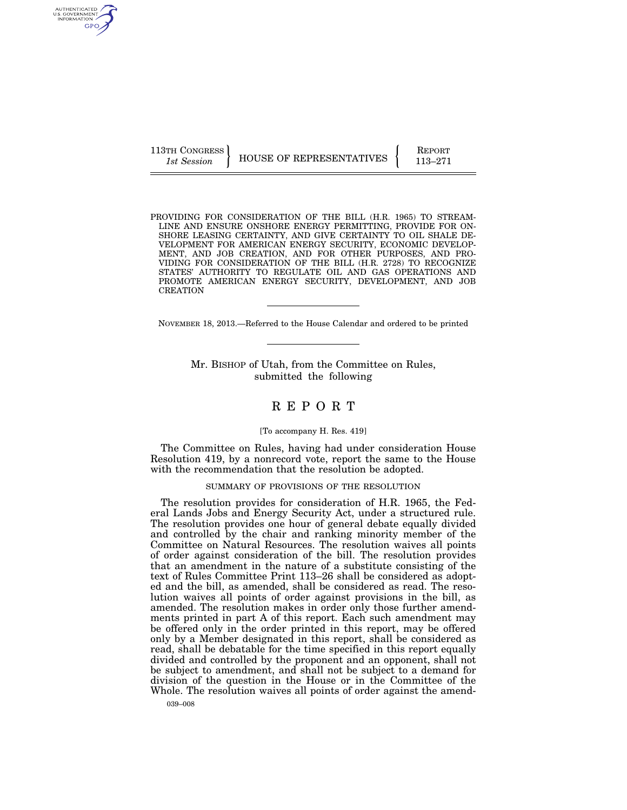AUTHENTICATED<br>U.S. GOVERNMENT<br>INFORMATION GPO

113TH CONGRESS HOUSE OF REPRESENTATIVES FEPORT 113–271

PROVIDING FOR CONSIDERATION OF THE BILL (H.R. 1965) TO STREAM-LINE AND ENSURE ONSHORE ENERGY PERMITTING, PROVIDE FOR ON-SHORE LEASING CERTAINTY, AND GIVE CERTAINTY TO OIL SHALE DE-VELOPMENT FOR AMERICAN ENERGY SECURITY, ECONOMIC DEVELOP-MENT, AND JOB CREATION, AND FOR OTHER PURPOSES, AND PRO-VIDING FOR CONSIDERATION OF THE BILL (H.R. 2728) TO RECOGNIZE STATES' AUTHORITY TO REGULATE OIL AND GAS OPERATIONS AND PROMOTE AMERICAN ENERGY SECURITY, DEVELOPMENT, AND JOB CREATION

NOVEMBER 18, 2013.—Referred to the House Calendar and ordered to be printed

Mr. BISHOP of Utah, from the Committee on Rules, submitted the following

## R E P O R T

## [To accompany H. Res. 419]

The Committee on Rules, having had under consideration House Resolution 419, by a nonrecord vote, report the same to the House with the recommendation that the resolution be adopted.

#### SUMMARY OF PROVISIONS OF THE RESOLUTION

The resolution provides for consideration of H.R. 1965, the Federal Lands Jobs and Energy Security Act, under a structured rule. The resolution provides one hour of general debate equally divided and controlled by the chair and ranking minority member of the Committee on Natural Resources. The resolution waives all points of order against consideration of the bill. The resolution provides that an amendment in the nature of a substitute consisting of the text of Rules Committee Print 113–26 shall be considered as adopted and the bill, as amended, shall be considered as read. The resolution waives all points of order against provisions in the bill, as amended. The resolution makes in order only those further amendments printed in part A of this report. Each such amendment may be offered only in the order printed in this report, may be offered only by a Member designated in this report, shall be considered as read, shall be debatable for the time specified in this report equally divided and controlled by the proponent and an opponent, shall not be subject to amendment, and shall not be subject to a demand for division of the question in the House or in the Committee of the Whole. The resolution waives all points of order against the amend-

039–008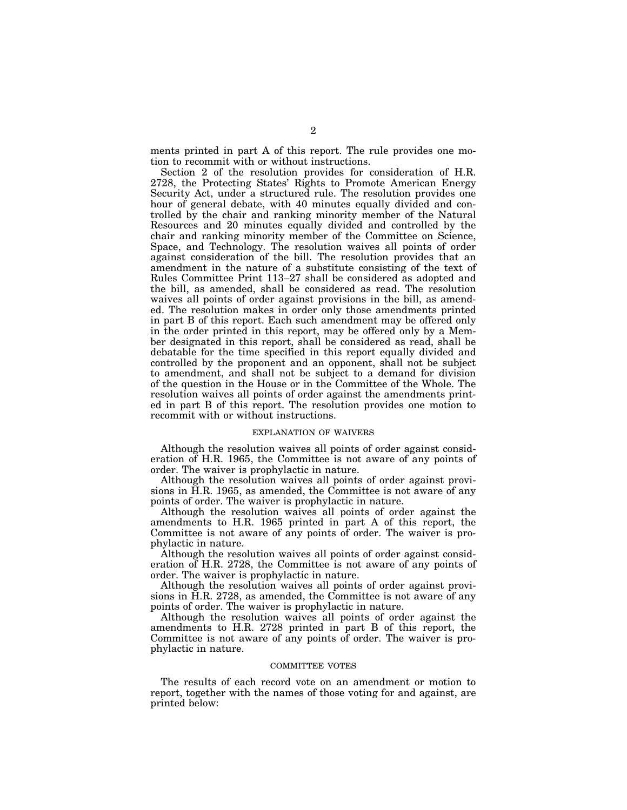ments printed in part A of this report. The rule provides one motion to recommit with or without instructions.

Section 2 of the resolution provides for consideration of H.R. 2728, the Protecting States' Rights to Promote American Energy Security Act, under a structured rule. The resolution provides one hour of general debate, with 40 minutes equally divided and controlled by the chair and ranking minority member of the Natural Resources and 20 minutes equally divided and controlled by the chair and ranking minority member of the Committee on Science, Space, and Technology. The resolution waives all points of order against consideration of the bill. The resolution provides that an amendment in the nature of a substitute consisting of the text of Rules Committee Print 113–27 shall be considered as adopted and the bill, as amended, shall be considered as read. The resolution waives all points of order against provisions in the bill, as amended. The resolution makes in order only those amendments printed in part B of this report. Each such amendment may be offered only in the order printed in this report, may be offered only by a Member designated in this report, shall be considered as read, shall be debatable for the time specified in this report equally divided and controlled by the proponent and an opponent, shall not be subject to amendment, and shall not be subject to a demand for division of the question in the House or in the Committee of the Whole. The resolution waives all points of order against the amendments printed in part B of this report. The resolution provides one motion to recommit with or without instructions.

## EXPLANATION OF WAIVERS

Although the resolution waives all points of order against consideration of H.R. 1965, the Committee is not aware of any points of order. The waiver is prophylactic in nature.

Although the resolution waives all points of order against provisions in H.R. 1965, as amended, the Committee is not aware of any points of order. The waiver is prophylactic in nature.

Although the resolution waives all points of order against the amendments to H.R. 1965 printed in part A of this report, the Committee is not aware of any points of order. The waiver is prophylactic in nature.

Although the resolution waives all points of order against consideration of H.R. 2728, the Committee is not aware of any points of order. The waiver is prophylactic in nature.

Although the resolution waives all points of order against provisions in H.R. 2728, as amended, the Committee is not aware of any points of order. The waiver is prophylactic in nature.

Although the resolution waives all points of order against the amendments to H.R. 2728 printed in part B of this report, the Committee is not aware of any points of order. The waiver is prophylactic in nature.

## COMMITTEE VOTES

The results of each record vote on an amendment or motion to report, together with the names of those voting for and against, are printed below: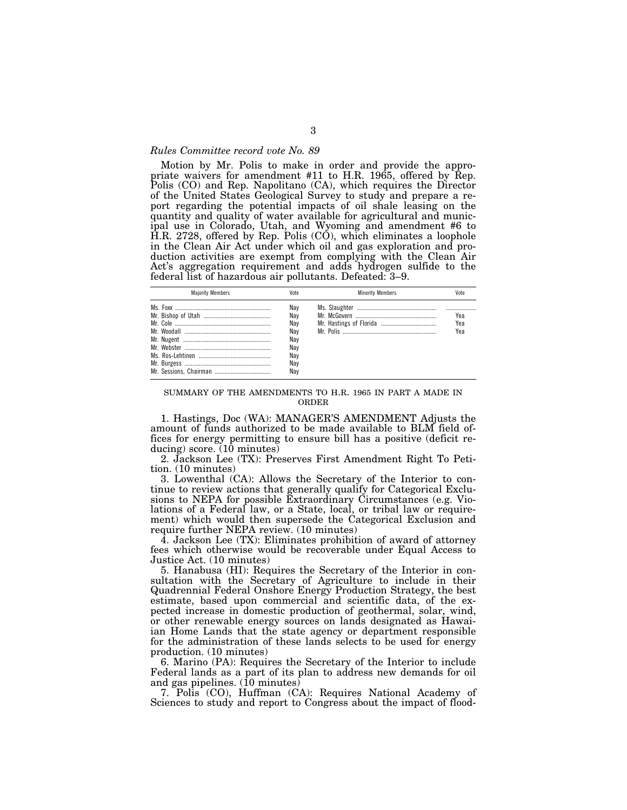## *Rules Committee record vote No. 89*

Motion by Mr. Polis to make in order and provide the appropriate waivers for amendment  $#11$  to H.R. 1965, offered by Rep. Polis (CO) and Rep. Napolitano (CA), which requires the Director of the United States Geological Survey to study and prepare a report regarding the potential impacts of oil shale leasing on the quantity and quality of water available for agricultural and municipal use in Colorado, Utah, and Wyoming and amendment #6 to H.R. 2728, offered by Rep. Polis (CO), which eliminates a loophole in the Clean Air Act under which oil and gas exploration and production activities are exempt from complying with the Clean Air Act's aggregation requirement and adds hydrogen sulfide to the federal list of hazardous air pollutants. Defeated: 3–9.

| <b>Maiority Members</b> | Vote                                          | <b>Minority Members</b> |                   |
|-------------------------|-----------------------------------------------|-------------------------|-------------------|
|                         | Nav<br>Nav<br>Nav<br>Nav<br>Nay<br>Nav<br>Nav |                         | Yea<br>Yea<br>Yea |
|                         | Nay<br>Nav                                    |                         |                   |

## SUMMARY OF THE AMENDMENTS TO H.R. 1965 IN PART A MADE IN ORDER

1. Hastings, Doc (WA): MANAGER'S AMENDMENT Adjusts the amount of funds authorized to be made available to BLM field offices for energy permitting to ensure bill has a positive (deficit reducing) score.  $(10 \text{ minutes})$ 

2. Jackson Lee (TX): Preserves First Amendment Right To Petition. (10 minutes)

3. Lowenthal (CA): Allows the Secretary of the Interior to continue to review actions that generally qualify for Categorical Exclusions to NEPA for possible Extraordinary Circumstances (e.g. Violations of a Federal law, or a State, local, or tribal law or requirement) which would then supersede the Categorical Exclusion and require further NEPA review. (10 minutes)

4. Jackson Lee (TX): Eliminates prohibition of award of attorney fees which otherwise would be recoverable under Equal Access to Justice Act. (10 minutes)

5. Hanabusa (HI): Requires the Secretary of the Interior in consultation with the Secretary of Agriculture to include in their Quadrennial Federal Onshore Energy Production Strategy, the best estimate, based upon commercial and scientific data, of the expected increase in domestic production of geothermal, solar, wind, or other renewable energy sources on lands designated as Hawaiian Home Lands that the state agency or department responsible for the administration of these lands selects to be used for energy production. (10 minutes)

6. Marino (PA): Requires the Secretary of the Interior to include Federal lands as a part of its plan to address new demands for oil and gas pipelines. (10 minutes)

7. Polis (CO), Huffman (CA): Requires National Academy of Sciences to study and report to Congress about the impact of flood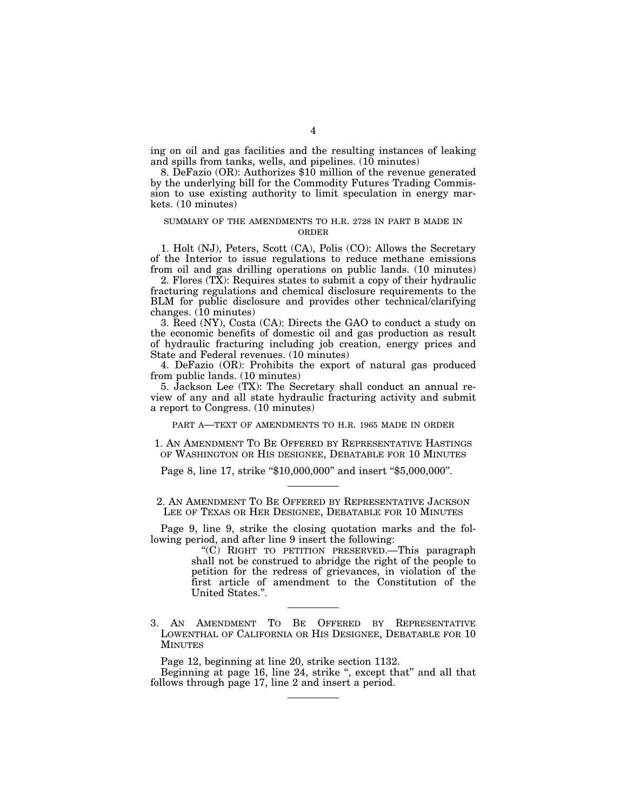ing on oil and gas facilities and the resulting instances of leaking and spills from tanks, wells, and pipelines. (10 minutes)

8. DeFazio (OR): Authorizes \$10 million of the revenue generated by the underlying bill for the Commodity Futures Trading Commission to use existing authority to limit speculation in energy markets. (10 minutes)

## SUMMARY OF THE AMENDMENTS TO H.R. 2728 IN PART B MADE IN ORDER

1. Holt (NJ), Peters, Scott (CA), Polis (CO): Allows the Secretary of the Interior to issue regulations to reduce methane emissions from oil and gas drilling operations on public lands. (10 minutes)

2. Flores (TX): Requires states to submit a copy of their hydraulic fracturing regulations and chemical disclosure requirements to the BLM for public disclosure and provides other technical/clarifying changes. (10 minutes)

3. Reed (NY), Costa (CA): Directs the GAO to conduct a study on the economic benefits of domestic oil and gas production as result of hydraulic fracturing including job creation, energy prices and State and Federal revenues. (10 minutes)

4. DeFazio (OR): Prohibits the export of natural gas produced from public lands. (10 minutes)

5. Jackson Lee (TX): The Secretary shall conduct an annual review of any and all state hydraulic fracturing activity and submit a report to Congress. (10 minutes)

PART A—TEXT OF AMENDMENTS TO H.R. 1965 MADE IN ORDER

1. AN AMENDMENT TO BE OFFERED BY REPRESENTATIVE HASTINGS OF WASHINGTON OR HIS DESIGNEE, DEBATABLE FOR 10 MINUTES

Page 8, line 17, strike "\$10,000,000" and insert "\$5,000,000".

2. AN AMENDMENT TO BE OFFERED BY REPRESENTATIVE JACKSON LEE OF TEXAS OR HER DESIGNEE, DEBATABLE FOR 10 MINUTES

Page 9, line 9, strike the closing quotation marks and the following period, and after line 9 insert the following:

"(C) RIGHT TO PETITION PRESERVED.—This paragraph shall not be construed to abridge the right of the people to petition for the redress of grievances, in violation of the first article of amendment to the Constitution of the United States.''.

3. AN AMENDMENT TO BE OFFERED BY REPRESENTATIVE LOWENTHAL OF CALIFORNIA OR HIS DESIGNEE, DEBATABLE FOR 10 MINUTES

Page 12, beginning at line 20, strike section 1132.

Beginning at page 16, line 24, strike ", except that" and all that follows through page 17, line 2 and insert a period.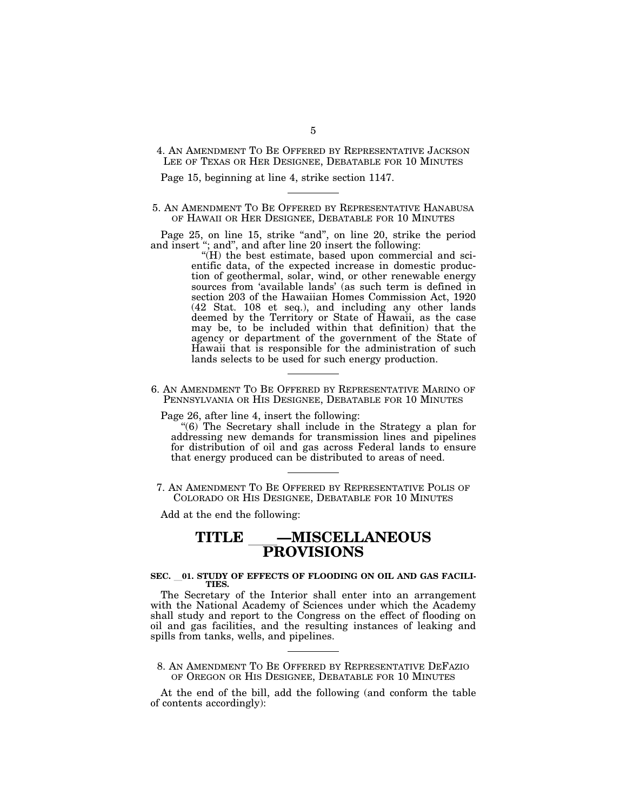4. AN AMENDMENT TO BE OFFERED BY REPRESENTATIVE JACKSON LEE OF TEXAS OR HER DESIGNEE, DEBATABLE FOR 10 MINUTES

Page 15, beginning at line 4, strike section 1147.

5. AN AMENDMENT TO BE OFFERED BY REPRESENTATIVE HANABUSA OF HAWAII OR HER DESIGNEE, DEBATABLE FOR 10 MINUTES

Page 25, on line 15, strike "and", on line 20, strike the period and insert "; and", and after line 20 insert the following:

''(H) the best estimate, based upon commercial and scientific data, of the expected increase in domestic production of geothermal, solar, wind, or other renewable energy sources from 'available lands' (as such term is defined in section 203 of the Hawaiian Homes Commission Act, 1920 (42 Stat. 108 et seq.), and including any other lands deemed by the Territory or State of Hawaii, as the case may be, to be included within that definition) that the agency or department of the government of the State of Hawaii that is responsible for the administration of such lands selects to be used for such energy production.

6. AN AMENDMENT TO BE OFFERED BY REPRESENTATIVE MARINO OF PENNSYLVANIA OR HIS DESIGNEE, DEBATABLE FOR 10 MINUTES

Page 26, after line 4, insert the following:

''(6) The Secretary shall include in the Strategy a plan for addressing new demands for transmission lines and pipelines for distribution of oil and gas across Federal lands to ensure that energy produced can be distributed to areas of need.

7. AN AMENDMENT TO BE OFFERED BY REPRESENTATIVE POLIS OF COLORADO OR HIS DESIGNEE, DEBATABLE FOR 10 MINUTES

Add at the end the following:

## **TITLE** ll**—MISCELLANEOUS PROVISIONS**

## SEC. 01. STUDY OF EFFECTS OF FLOODING ON OIL AND GAS FACILI-**TIES.**

The Secretary of the Interior shall enter into an arrangement with the National Academy of Sciences under which the Academy shall study and report to the Congress on the effect of flooding on oil and gas facilities, and the resulting instances of leaking and spills from tanks, wells, and pipelines.

8. AN AMENDMENT TO BE OFFERED BY REPRESENTATIVE DEFAZIO OF OREGON OR HIS DESIGNEE, DEBATABLE FOR 10 MINUTES

At the end of the bill, add the following (and conform the table of contents accordingly):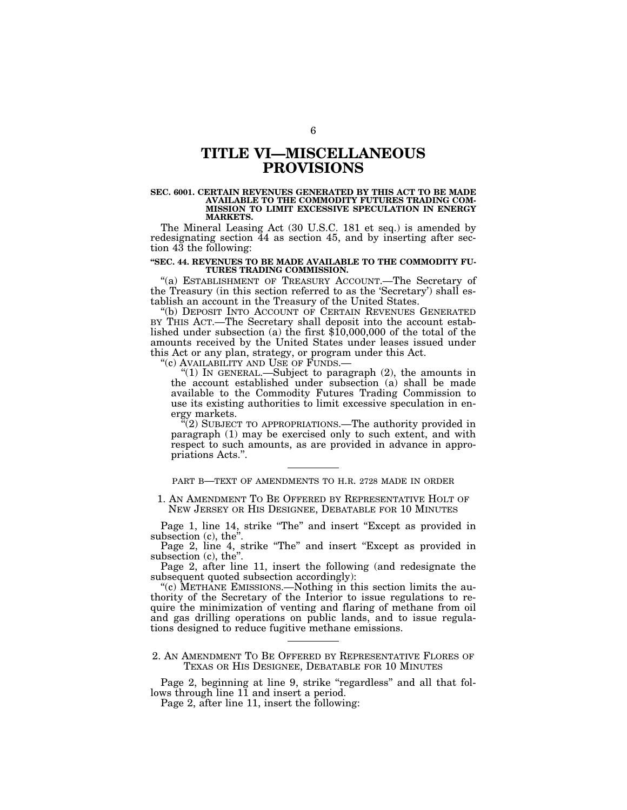## **TITLE VI—MISCELLANEOUS PROVISIONS**

#### **SEC. 6001. CERTAIN REVENUES GENERATED BY THIS ACT TO BE MADE AVAILABLE TO THE COMMODITY FUTURES TRADING COM-MISSION TO LIMIT EXCESSIVE SPECULATION IN ENERGY MARKETS.**

The Mineral Leasing Act (30 U.S.C. 181 et seq.) is amended by redesignating section 44 as section 45, and by inserting after section 43 the following:

## **''SEC. 44. REVENUES TO BE MADE AVAILABLE TO THE COMMODITY FU-TURES TRADING COMMISSION.**

''(a) ESTABLISHMENT OF TREASURY ACCOUNT.—The Secretary of the Treasury (in this section referred to as the 'Secretary') shall establish an account in the Treasury of the United States.

"(b) DEPOSIT INTO ACCOUNT OF CERTAIN REVENUES GENERATED BY THIS ACT.—The Secretary shall deposit into the account established under subsection (a) the first \$10,000,000 of the total of the amounts received by the United States under leases issued under this Act or any plan, strategy, or program under this Act.

''(c) AVAILABILITY AND USE OF FUNDS.—

" $(1)$  In GENERAL.—Subject to paragraph  $(2)$ , the amounts in the account established under subsection (a) shall be made available to the Commodity Futures Trading Commission to use its existing authorities to limit excessive speculation in energy markets.

 $\sqrt[n]{(2)}$  SUBJECT TO APPROPRIATIONS.—The authority provided in paragraph (1) may be exercised only to such extent, and with respect to such amounts, as are provided in advance in appropriations Acts.''.

PART B—TEXT OF AMENDMENTS TO H.R. 2728 MADE IN ORDER

1. AN AMENDMENT TO BE OFFERED BY REPRESENTATIVE HOLT OF NEW JERSEY OR HIS DESIGNEE, DEBATABLE FOR 10 MINUTES

Page 1, line 14, strike "The" and insert "Except as provided in subsection (c), the''.

Page 2, line 4, strike "The" and insert "Except as provided in subsection (c), the".

Page 2, after line 11, insert the following (and redesignate the subsequent quoted subsection accordingly):

''(c) METHANE EMISSIONS.—Nothing in this section limits the authority of the Secretary of the Interior to issue regulations to require the minimization of venting and flaring of methane from oil and gas drilling operations on public lands, and to issue regulations designed to reduce fugitive methane emissions.

## 2. AN AMENDMENT TO BE OFFERED BY REPRESENTATIVE FLORES OF TEXAS OR HIS DESIGNEE, DEBATABLE FOR 10 MINUTES

Page 2, beginning at line 9, strike "regardless" and all that follows through line 11 and insert a period.

Page 2, after line 11, insert the following: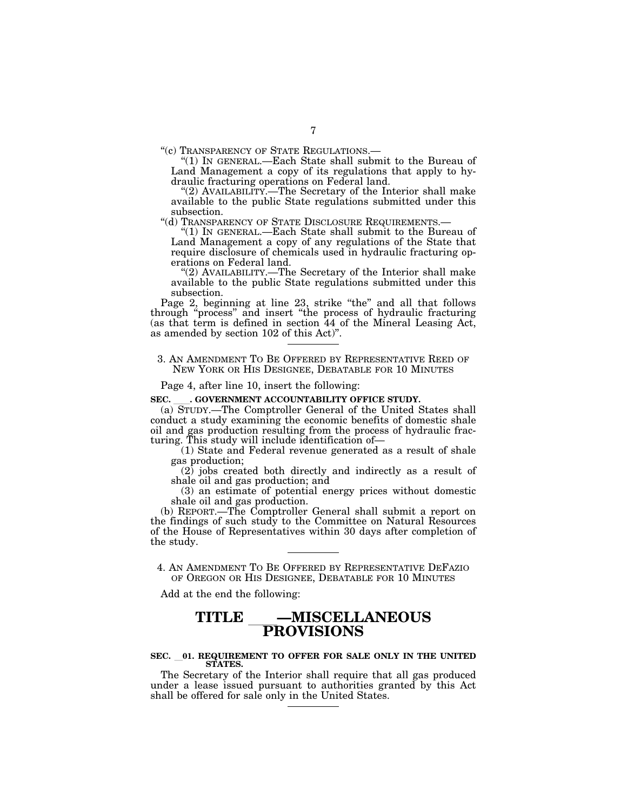''(c) TRANSPARENCY OF STATE REGULATIONS.— ''(1) IN GENERAL.—Each State shall submit to the Bureau of Land Management a copy of its regulations that apply to hydraulic fracturing operations on Federal land.

"(2) AVAILABILITY.—The Secretary of the Interior shall make available to the public State regulations submitted under this subsection.

''(d) TRANSPARENCY OF STATE DISCLOSURE REQUIREMENTS.— ''(1) IN GENERAL.—Each State shall submit to the Bureau of Land Management a copy of any regulations of the State that require disclosure of chemicals used in hydraulic fracturing operations on Federal land.

''(2) AVAILABILITY.—The Secretary of the Interior shall make available to the public State regulations submitted under this subsection.

Page 2, beginning at line 23, strike "the" and all that follows through ''process'' and insert ''the process of hydraulic fracturing (as that term is defined in section 44 of the Mineral Leasing Act, as amended by section 102 of this Act)''.

## 3. AN AMENDMENT TO BE OFFERED BY REPRESENTATIVE REED OF NEW YORK OR HIS DESIGNEE, DEBATABLE FOR 10 MINUTES

Page 4, after line 10, insert the following:

## SEC. **.** GOVERNMENT ACCOUNTABILITY OFFICE STUDY.

(a) STUDY.—The Comptroller General of the United States shall conduct a study examining the economic benefits of domestic shale oil and gas production resulting from the process of hydraulic fracturing. This study will include identification of—

(1) State and Federal revenue generated as a result of shale gas production;

 $(2)$  jobs created both directly and indirectly as a result of shale oil and gas production; and

(3) an estimate of potential energy prices without domestic shale oil and gas production.

(b) REPORT.—The Comptroller General shall submit a report on the findings of such study to the Committee on Natural Resources of the House of Representatives within 30 days after completion of the study.

4. AN AMENDMENT TO BE OFFERED BY REPRESENTATIVE DEFAZIO OF OREGON OR HIS DESIGNEE, DEBATABLE FOR 10 MINUTES

Add at the end the following:

## **TITLE** ll**—MISCELLANEOUS PROVISIONS**

## **SEC.** l**01. REQUIREMENT TO OFFER FOR SALE ONLY IN THE UNITED STATES.**

The Secretary of the Interior shall require that all gas produced under a lease issued pursuant to authorities granted by this Act shall be offered for sale only in the United States.